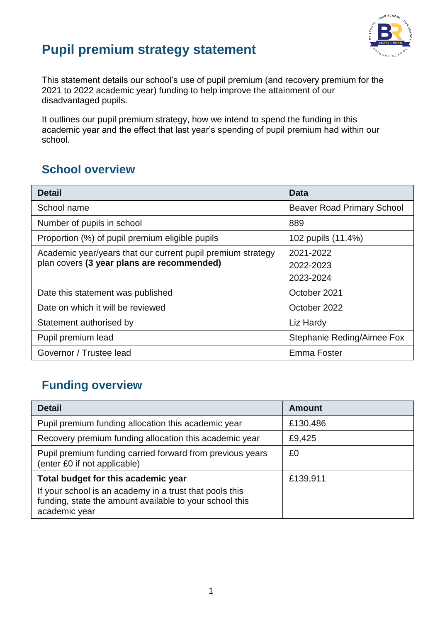

# **Pupil premium strategy statement**

This statement details our school's use of pupil premium (and recovery premium for the 2021 to 2022 academic year) funding to help improve the attainment of our disadvantaged pupils.

It outlines our pupil premium strategy, how we intend to spend the funding in this academic year and the effect that last year's spending of pupil premium had within our school.

## **School overview**

| <b>Detail</b>                                                                                             | Data                                |
|-----------------------------------------------------------------------------------------------------------|-------------------------------------|
| School name                                                                                               | <b>Beaver Road Primary School</b>   |
| Number of pupils in school                                                                                | 889                                 |
| Proportion (%) of pupil premium eligible pupils                                                           | 102 pupils (11.4%)                  |
| Academic year/years that our current pupil premium strategy<br>plan covers (3 year plans are recommended) | 2021-2022<br>2022-2023<br>2023-2024 |
| Date this statement was published                                                                         | October 2021                        |
| Date on which it will be reviewed                                                                         | October 2022                        |
| Statement authorised by                                                                                   | Liz Hardy                           |
| Pupil premium lead                                                                                        | Stephanie Reding/Aimee Fox          |
| Governor / Trustee lead                                                                                   | Emma Foster                         |

## **Funding overview**

| <b>Detail</b>                                                                                                                                                                          | <b>Amount</b> |  |
|----------------------------------------------------------------------------------------------------------------------------------------------------------------------------------------|---------------|--|
| Pupil premium funding allocation this academic year                                                                                                                                    | £130,486      |  |
| Recovery premium funding allocation this academic year                                                                                                                                 | £9,425        |  |
| Pupil premium funding carried forward from previous years<br>(enter £0 if not applicable)                                                                                              | £0            |  |
| Total budget for this academic year<br>£139,911<br>If your school is an academy in a trust that pools this<br>funding, state the amount available to your school this<br>academic year |               |  |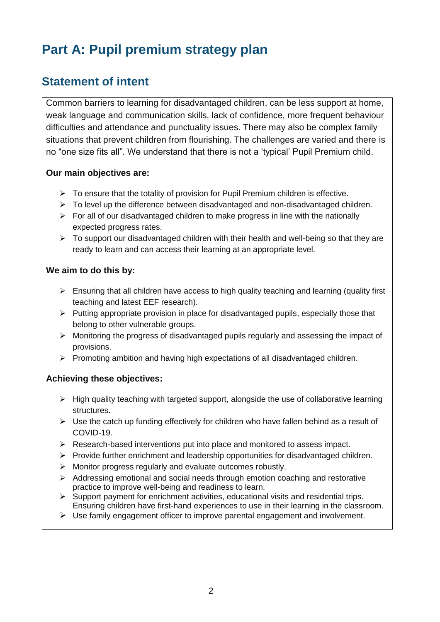# **Part A: Pupil premium strategy plan**

### **Statement of intent**

Common barriers to learning for disadvantaged children, can be less support at home, weak language and communication skills, lack of confidence, more frequent behaviour difficulties and attendance and punctuality issues. There may also be complex family situations that prevent children from flourishing. The challenges are varied and there is no "one size fits all". We understand that there is not a 'typical' Pupil Premium child.

#### **Our main objectives are:**

- $\triangleright$  To ensure that the totality of provision for Pupil Premium children is effective.
- $\triangleright$  To level up the difference between disadvantaged and non-disadvantaged children.
- $\triangleright$  For all of our disadvantaged children to make progress in line with the nationally expected progress rates.
- $\triangleright$  To support our disadvantaged children with their health and well-being so that they are ready to learn and can access their learning at an appropriate level.

#### **We aim to do this by:**

- $\triangleright$  Ensuring that all children have access to high quality teaching and learning (quality first teaching and latest EEF research).
- $\triangleright$  Putting appropriate provision in place for disadvantaged pupils, especially those that belong to other vulnerable groups.
- $\triangleright$  Monitoring the progress of disadvantaged pupils regularly and assessing the impact of provisions.
- $\triangleright$  Promoting ambition and having high expectations of all disadvantaged children.

#### **Achieving these objectives:**

- $\triangleright$  High quality teaching with targeted support, alongside the use of collaborative learning structures.
- $\triangleright$  Use the catch up funding effectively for children who have fallen behind as a result of COVID-19.
- Research-based interventions put into place and monitored to assess impact.
- $\triangleright$  Provide further enrichment and leadership opportunities for disadvantaged children.
- $\triangleright$  Monitor progress regularly and evaluate outcomes robustly.
- $\triangleright$  Addressing emotional and social needs through emotion coaching and restorative practice to improve well-being and readiness to learn.
- $\triangleright$  Support payment for enrichment activities, educational visits and residential trips. Ensuring children have first-hand experiences to use in their learning in the classroom.
- $\triangleright$  Use family engagement officer to improve parental engagement and involvement.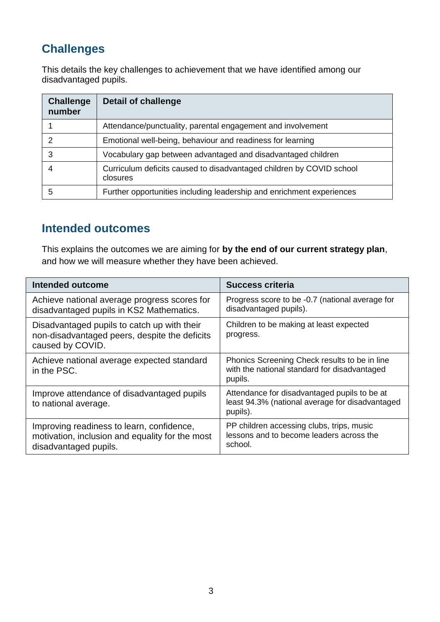## **Challenges**

This details the key challenges to achievement that we have identified among our disadvantaged pupils.

| <b>Challenge</b><br>number | <b>Detail of challenge</b>                                                       |
|----------------------------|----------------------------------------------------------------------------------|
|                            | Attendance/punctuality, parental engagement and involvement                      |
| っ                          | Emotional well-being, behaviour and readiness for learning                       |
| 3                          | Vocabulary gap between advantaged and disadvantaged children                     |
|                            | Curriculum deficits caused to disadvantaged children by COVID school<br>closures |
| 5                          | Further opportunities including leadership and enrichment experiences            |

### **Intended outcomes**

This explains the outcomes we are aiming for **by the end of our current strategy plan**, and how we will measure whether they have been achieved.

| Intended outcome                                                                                                      | <b>Success criteria</b>                                                                                     |
|-----------------------------------------------------------------------------------------------------------------------|-------------------------------------------------------------------------------------------------------------|
| Achieve national average progress scores for<br>disadvantaged pupils in KS2 Mathematics.                              | Progress score to be -0.7 (national average for<br>disadvantaged pupils).                                   |
| Disadvantaged pupils to catch up with their<br>non-disadvantaged peers, despite the deficits<br>caused by COVID.      | Children to be making at least expected<br>progress.                                                        |
| Achieve national average expected standard<br>in the PSC.                                                             | Phonics Screening Check results to be in line<br>with the national standard for disadvantaged<br>pupils.    |
| Improve attendance of disadvantaged pupils<br>to national average.                                                    | Attendance for disadvantaged pupils to be at<br>least 94.3% (national average for disadvantaged<br>pupils). |
| Improving readiness to learn, confidence,<br>motivation, inclusion and equality for the most<br>disadvantaged pupils. | PP children accessing clubs, trips, music<br>lessons and to become leaders across the<br>school.            |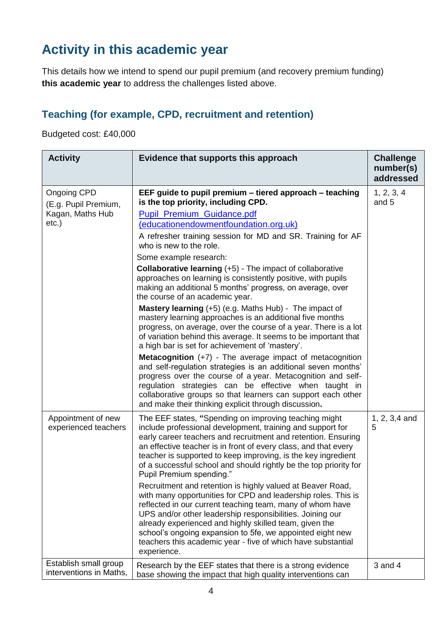# **Activity in this academic year**

This details how we intend to spend our pupil premium (and recovery premium funding) **this academic year** to address the challenges listed above.

### **Teaching (for example, CPD, recruitment and retention)**

Budgeted cost: £40,000

| <b>Activity</b>                                  | Evidence that supports this approach                                                                                                                                                                                                                                                                                                                                                                                                                        | <b>Challenge</b><br>number(s)<br>addressed |
|--------------------------------------------------|-------------------------------------------------------------------------------------------------------------------------------------------------------------------------------------------------------------------------------------------------------------------------------------------------------------------------------------------------------------------------------------------------------------------------------------------------------------|--------------------------------------------|
| <b>Ongoing CPD</b><br>(E.g. Pupil Premium,       | EEF guide to pupil premium - tiered approach - teaching<br>is the top priority, including CPD.                                                                                                                                                                                                                                                                                                                                                              | 1, 2, 3, 4<br>and 5                        |
| Kagan, Maths Hub<br>$etc.$ )                     | <b>Pupil_Premium_Guidance.pdf</b><br>(educationendowmentfoundation.org.uk)                                                                                                                                                                                                                                                                                                                                                                                  |                                            |
|                                                  | A refresher training session for MD and SR. Training for AF<br>who is new to the role.                                                                                                                                                                                                                                                                                                                                                                      |                                            |
|                                                  | Some example research:                                                                                                                                                                                                                                                                                                                                                                                                                                      |                                            |
|                                                  | <b>Collaborative learning (+5) - The impact of collaborative</b><br>approaches on learning is consistently positive, with pupils<br>making an additional 5 months' progress, on average, over<br>the course of an academic year.                                                                                                                                                                                                                            |                                            |
|                                                  | Mastery learning (+5) (e.g. Maths Hub) - The impact of<br>mastery learning approaches is an additional five months<br>progress, on average, over the course of a year. There is a lot<br>of variation behind this average. It seems to be important that<br>a high bar is set for achievement of 'mastery'.                                                                                                                                                 |                                            |
|                                                  | <b>Metacognition</b> $(+7)$ - The average impact of metacognition<br>and self-regulation strategies is an additional seven months'<br>progress over the course of a year. Metacognition and self-<br>regulation strategies can be effective when taught in<br>collaborative groups so that learners can support each other<br>and make their thinking explicit through discussion.                                                                          |                                            |
| Appointment of new<br>experienced teachers       | The EEF states, "Spending on improving teaching might<br>include professional development, training and support for<br>early career teachers and recruitment and retention. Ensuring<br>an effective teacher is in front of every class, and that every<br>teacher is supported to keep improving, is the key ingredient<br>of a successful school and should rightly be the top priority for<br>Pupil Premium spending."                                   | 1, 2, 3,4 and<br>5                         |
|                                                  | Recruitment and retention is highly valued at Beaver Road,<br>with many opportunities for CPD and leadership roles. This is<br>reflected in our current teaching team, many of whom have<br>UPS and/or other leadership responsibilities. Joining our<br>already experienced and highly skilled team, given the<br>school's ongoing expansion to 5fe, we appointed eight new<br>teachers this academic year - five of which have substantial<br>experience. |                                            |
| Establish small group<br>interventions in Maths, | Research by the EEF states that there is a strong evidence<br>base showing the impact that high quality interventions can                                                                                                                                                                                                                                                                                                                                   | $3$ and $4$                                |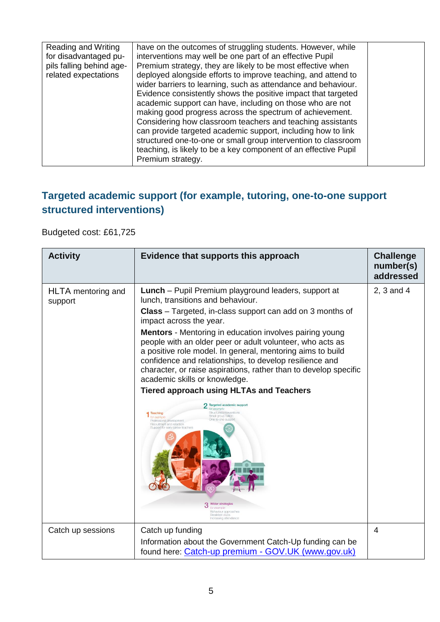| Reading and Writing<br>for disadvantaged pu-<br>pils falling behind age-<br>related expectations | have on the outcomes of struggling students. However, while<br>interventions may well be one part of an effective Pupil<br>Premium strategy, they are likely to be most effective when<br>deployed alongside efforts to improve teaching, and attend to<br>wider barriers to learning, such as attendance and behaviour.<br>Evidence consistently shows the positive impact that targeted<br>academic support can have, including on those who are not<br>making good progress across the spectrum of achievement.<br>Considering how classroom teachers and teaching assistants<br>can provide targeted academic support, including how to link<br>structured one-to-one or small group intervention to classroom<br>teaching, is likely to be a key component of an effective Pupil<br>Premium strategy. |  |
|--------------------------------------------------------------------------------------------------|------------------------------------------------------------------------------------------------------------------------------------------------------------------------------------------------------------------------------------------------------------------------------------------------------------------------------------------------------------------------------------------------------------------------------------------------------------------------------------------------------------------------------------------------------------------------------------------------------------------------------------------------------------------------------------------------------------------------------------------------------------------------------------------------------------|--|

### **Targeted academic support (for example, tutoring, one-to-one support structured interventions)**

### Budgeted cost: £61,725

| <b>Activity</b>                      | Evidence that supports this approach                                                                                                                                                                                                                                                                                                                                                                                                                                                                                                                                                                                                                                                                                                                                                                                                                                                                                                        | <b>Challenge</b><br>number(s)<br>addressed |
|--------------------------------------|---------------------------------------------------------------------------------------------------------------------------------------------------------------------------------------------------------------------------------------------------------------------------------------------------------------------------------------------------------------------------------------------------------------------------------------------------------------------------------------------------------------------------------------------------------------------------------------------------------------------------------------------------------------------------------------------------------------------------------------------------------------------------------------------------------------------------------------------------------------------------------------------------------------------------------------------|--------------------------------------------|
| <b>HLTA</b> mentoring and<br>support | <b>Lunch</b> – Pupil Premium playground leaders, support at<br>lunch, transitions and behaviour.<br>Class - Targeted, in-class support can add on 3 months of<br>impact across the year.<br><b>Mentors</b> - Mentoring in education involves pairing young<br>people with an older peer or adult volunteer, who acts as<br>a positive role model. In general, mentoring aims to build<br>confidence and relationships, to develop resilience and<br>character, or raise aspirations, rather than to develop specific<br>academic skills or knowledge.<br><b>Tiered approach using HLTAs and Teachers</b><br>7 Targeted academic support<br>for example<br>Structured interventi<br>Small group fultion<br>One-to-one sunny<br>Professional developmen<br>Recruitment and retention<br>Support for early career teachers<br><b>Wider strategies</b><br>or example<br>Behaviour approaches<br><b>Breakfast clubs</b><br>Increasing attendance | 2, 3 and 4                                 |
| Catch up sessions                    | Catch up funding<br>Information about the Government Catch-Up funding can be<br>found here: Catch-up premium - GOV.UK (www.gov.uk)                                                                                                                                                                                                                                                                                                                                                                                                                                                                                                                                                                                                                                                                                                                                                                                                          | 4                                          |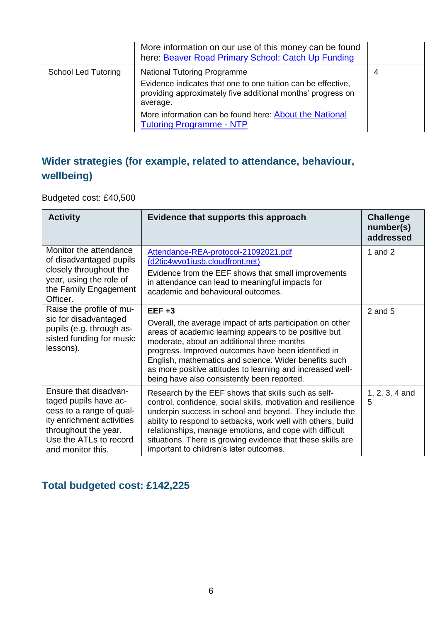|                            | More information on our use of this money can be found<br>here: Beaver Road Primary School: Catch Up Funding                                                                                                                            |   |
|----------------------------|-----------------------------------------------------------------------------------------------------------------------------------------------------------------------------------------------------------------------------------------|---|
| <b>School Led Tutoring</b> | <b>National Tutoring Programme</b><br>Evidence indicates that one to one tuition can be effective,<br>providing approximately five additional months' progress on<br>average.<br>More information can be found here: About the National | 4 |
|                            | <b>Tutoring Programme - NTP</b>                                                                                                                                                                                                         |   |

### **Wider strategies (for example, related to attendance, behaviour, wellbeing)**

Budgeted cost: £40,500

| <b>Activity</b>                                                                                                                                                                | Evidence that supports this approach                                                                                                                                                                                                                                                                                                                                                                                 | <b>Challenge</b><br>number(s)<br>addressed |
|--------------------------------------------------------------------------------------------------------------------------------------------------------------------------------|----------------------------------------------------------------------------------------------------------------------------------------------------------------------------------------------------------------------------------------------------------------------------------------------------------------------------------------------------------------------------------------------------------------------|--------------------------------------------|
| Monitor the attendance<br>of disadvantaged pupils<br>closely throughout the<br>year, using the role of<br>the Family Engagement<br>Officer.                                    | Attendance-REA-protocol-21092021.pdf<br>(d2tic4wvo1iusb.cloudfront.net)<br>Evidence from the EEF shows that small improvements<br>in attendance can lead to meaningful impacts for<br>academic and behavioural outcomes.                                                                                                                                                                                             | 1 and $2$                                  |
| Raise the profile of mu-<br>sic for disadvantaged<br>pupils (e.g. through as-<br>sisted funding for music<br>lessons).                                                         | $EEF +3$<br>Overall, the average impact of arts participation on other<br>areas of academic learning appears to be positive but<br>moderate, about an additional three months<br>progress. Improved outcomes have been identified in<br>English, mathematics and science. Wider benefits such<br>as more positive attitudes to learning and increased well-<br>being have also consistently been reported.           | $2$ and $5$                                |
| Ensure that disadvan-<br>taged pupils have ac-<br>cess to a range of qual-<br>ity enrichment activities<br>throughout the year.<br>Use the ATLs to record<br>and monitor this. | Research by the EEF shows that skills such as self-<br>control, confidence, social skills, motivation and resilience<br>underpin success in school and beyond. They include the<br>ability to respond to setbacks, work well with others, build<br>relationships, manage emotions, and cope with difficult<br>situations. There is growing evidence that these skills are<br>important to children's later outcomes. | $1, 2, 3, 4$ and<br>5                      |

### **Total budgeted cost: £142,225**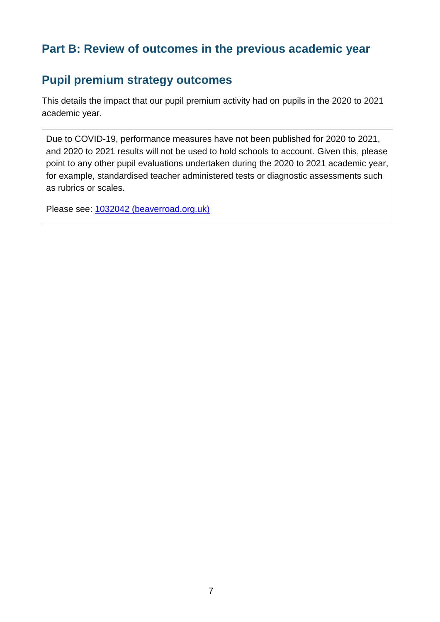### **Part B: Review of outcomes in the previous academic year**

### **Pupil premium strategy outcomes**

This details the impact that our pupil premium activity had on pupils in the 2020 to 2021 academic year.

Due to COVID-19, performance measures have not been published for 2020 to 2021, and 2020 to 2021 results will not be used to hold schools to account. Given this, please point to any other pupil evaluations undertaken during the 2020 to 2021 academic year, for example, standardised teacher administered tests or diagnostic assessments such as rubrics or scales.

Please see: [1032042 \(beaverroad.org.uk\)](https://www.beaverroad.org.uk/serve_file/1032042)